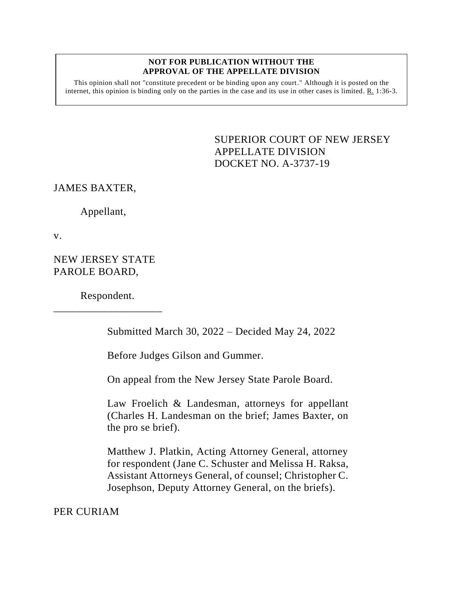#### **NOT FOR PUBLICATION WITHOUT THE APPROVAL OF THE APPELLATE DIVISION**

This opinion shall not "constitute precedent or be binding upon any court." Although it is posted on the internet, this opinion is binding only on the parties in the case and its use in other cases is limited. R. 1:36-3.

# <span id="page-0-0"></span>SUPERIOR COURT OF NEW JERSEY APPELLATE DIVISION DOCKET NO. A-3737-19

JAMES BAXTER,

Appellant,

v.

NEW JERSEY STATE PAROLE BOARD,

Respondent. \_\_\_\_\_\_\_\_\_\_\_\_\_\_\_\_\_\_\_\_

Submitted March 30, 2022 – Decided May 24, 2022

Before Judges Gilson and Gummer.

On appeal from the New Jersey State Parole Board.

Law Froelich & Landesman, attorneys for appellant (Charles H. Landesman on the brief; James Baxter, on the pro se brief).

Matthew J. Platkin, Acting Attorney General, attorney for respondent (Jane C. Schuster and Melissa H. Raksa, Assistant Attorneys General, of counsel; Christopher C. Josephson, Deputy Attorney General, on the briefs).

PER CURIAM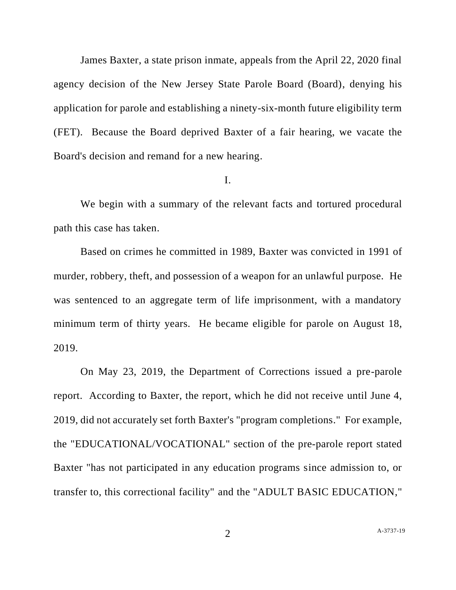James Baxter, a state prison inmate, appeals from the April 22, 2020 final agency decision of the New Jersey State Parole Board (Board), denying his application for parole and establishing a ninety-six-month future eligibility term (FET). Because the Board deprived Baxter of a fair hearing, we vacate the Board's decision and remand for a new hearing.

### I.

We begin with a summary of the relevant facts and tortured procedural path this case has taken.

Based on crimes he committed in 1989, Baxter was convicted in 1991 of murder, robbery, theft, and possession of a weapon for an unlawful purpose. He was sentenced to an aggregate term of life imprisonment, with a mandatory minimum term of thirty years. He became eligible for parole on August 18, 2019.

On May 23, 2019, the Department of Corrections issued a pre-parole report. According to Baxter, the report, which he did not receive until June 4, 2019, did not accurately set forth Baxter's "program completions." For example, the "EDUCATIONAL/VOCATIONAL" section of the pre-parole report stated Baxter "has not participated in any education programs since admission to, or transfer to, this correctional facility" and the "ADULT BASIC EDUCATION,"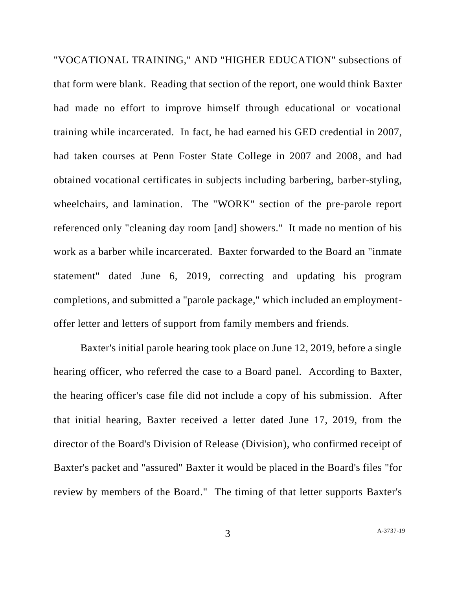"VOCATIONAL TRAINING," AND "HIGHER EDUCATION" subsections of that form were blank. Reading that section of the report, one would think Baxter had made no effort to improve himself through educational or vocational training while incarcerated. In fact, he had earned his GED credential in 2007, had taken courses at Penn Foster State College in 2007 and 2008, and had obtained vocational certificates in subjects including barbering, barber-styling, wheelchairs, and lamination. The "WORK" section of the pre-parole report referenced only "cleaning day room [and] showers." It made no mention of his work as a barber while incarcerated. Baxter forwarded to the Board an "inmate statement" dated June 6, 2019, correcting and updating his program completions, and submitted a "parole package," which included an employmentoffer letter and letters of support from family members and friends.

Baxter's initial parole hearing took place on June 12, 2019, before a single hearing officer, who referred the case to a Board panel. According to Baxter, the hearing officer's case file did not include a copy of his submission. After that initial hearing, Baxter received a letter dated June 17, 2019, from the director of the Board's Division of Release (Division), who confirmed receipt of Baxter's packet and "assured" Baxter it would be placed in the Board's files "for review by members of the Board." The timing of that letter supports Baxter's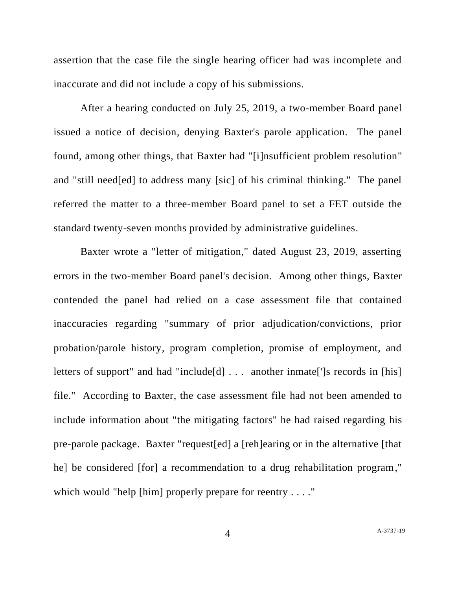assertion that the case file the single hearing officer had was incomplete and inaccurate and did not include a copy of his submissions.

After a hearing conducted on July 25, 2019, a two-member Board panel issued a notice of decision, denying Baxter's parole application. The panel found, among other things, that Baxter had "[i]nsufficient problem resolution" and "still need[ed] to address many [sic] of his criminal thinking." The panel referred the matter to a three-member Board panel to set a FET outside the standard twenty-seven months provided by administrative guidelines.

Baxter wrote a "letter of mitigation," dated August 23, 2019, asserting errors in the two-member Board panel's decision. Among other things, Baxter contended the panel had relied on a case assessment file that contained inaccuracies regarding "summary of prior adjudication/convictions, prior probation/parole history, program completion, promise of employment, and letters of support" and had "include[d] . . . another inmate[']s records in [his] file." According to Baxter, the case assessment file had not been amended to include information about "the mitigating factors" he had raised regarding his pre-parole package. Baxter "request[ed] a [reh]earing or in the alternative [that he] be considered [for] a recommendation to a drug rehabilitation program," which would "help [him] properly prepare for reentry  $\dots$ ."

4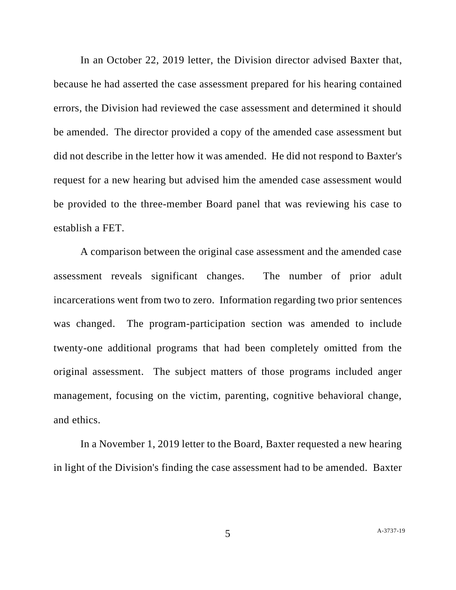In an October 22, 2019 letter, the Division director advised Baxter that, because he had asserted the case assessment prepared for his hearing contained errors, the Division had reviewed the case assessment and determined it should be amended. The director provided a copy of the amended case assessment but did not describe in the letter how it was amended. He did not respond to Baxter's request for a new hearing but advised him the amended case assessment would be provided to the three-member Board panel that was reviewing his case to establish a FET.

A comparison between the original case assessment and the amended case assessment reveals significant changes. The number of prior adult incarcerations went from two to zero. Information regarding two prior sentences was changed. The program-participation section was amended to include twenty-one additional programs that had been completely omitted from the original assessment. The subject matters of those programs included anger management, focusing on the victim, parenting, cognitive behavioral change, and ethics.

In a November 1, 2019 letter to the Board, Baxter requested a new hearing in light of the Division's finding the case assessment had to be amended. Baxter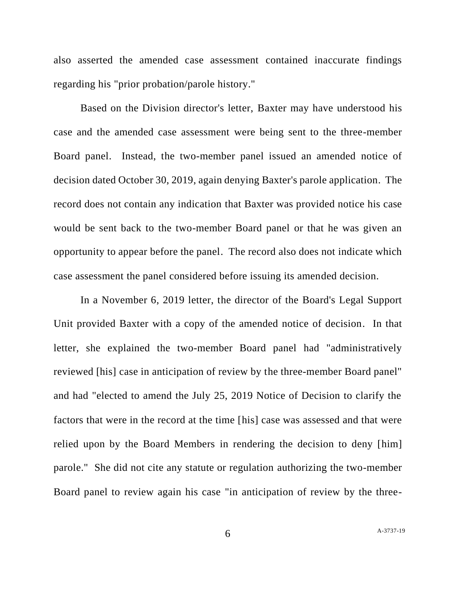also asserted the amended case assessment contained inaccurate findings regarding his "prior probation/parole history."

Based on the Division director's letter, Baxter may have understood his case and the amended case assessment were being sent to the three-member Board panel. Instead, the two-member panel issued an amended notice of decision dated October 30, 2019, again denying Baxter's parole application. The record does not contain any indication that Baxter was provided notice his case would be sent back to the two-member Board panel or that he was given an opportunity to appear before the panel. The record also does not indicate which case assessment the panel considered before issuing its amended decision.

In a November 6, 2019 letter, the director of the Board's Legal Support Unit provided Baxter with a copy of the amended notice of decision. In that letter, she explained the two-member Board panel had "administratively reviewed [his] case in anticipation of review by the three-member Board panel" and had "elected to amend the July 25, 2019 Notice of Decision to clarify the factors that were in the record at the time [his] case was assessed and that were relied upon by the Board Members in rendering the decision to deny [him] parole." She did not cite any statute or regulation authorizing the two-member Board panel to review again his case "in anticipation of review by the three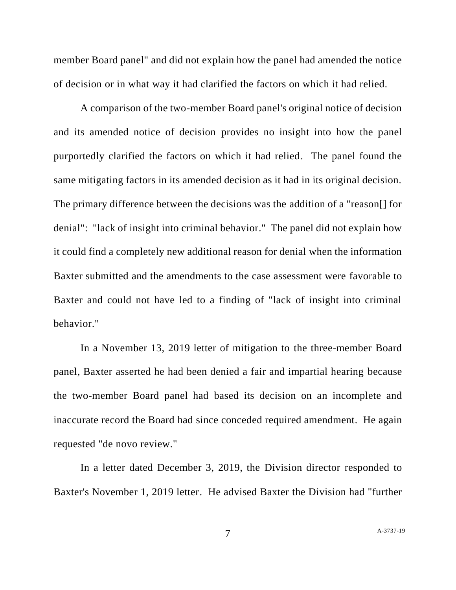member Board panel" and did not explain how the panel had amended the notice of decision or in what way it had clarified the factors on which it had relied.

A comparison of the two-member Board panel's original notice of decision and its amended notice of decision provides no insight into how the panel purportedly clarified the factors on which it had relied. The panel found the same mitigating factors in its amended decision as it had in its original decision. The primary difference between the decisions was the addition of a "reason[] for denial": "lack of insight into criminal behavior." The panel did not explain how it could find a completely new additional reason for denial when the information Baxter submitted and the amendments to the case assessment were favorable to Baxter and could not have led to a finding of "lack of insight into criminal behavior."

In a November 13, 2019 letter of mitigation to the three-member Board panel, Baxter asserted he had been denied a fair and impartial hearing because the two-member Board panel had based its decision on an incomplete and inaccurate record the Board had since conceded required amendment. He again requested "de novo review."

In a letter dated December 3, 2019, the Division director responded to Baxter's November 1, 2019 letter. He advised Baxter the Division had "further

7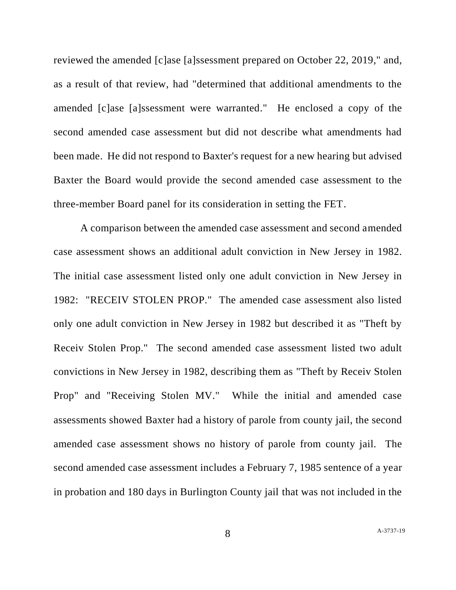reviewed the amended [c]ase [a]ssessment prepared on October 22, 2019," and, as a result of that review, had "determined that additional amendments to the amended [c]ase [a]ssessment were warranted." He enclosed a copy of the second amended case assessment but did not describe what amendments had been made. He did not respond to Baxter's request for a new hearing but advised Baxter the Board would provide the second amended case assessment to the three-member Board panel for its consideration in setting the FET.

A comparison between the amended case assessment and second amended case assessment shows an additional adult conviction in New Jersey in 1982. The initial case assessment listed only one adult conviction in New Jersey in 1982: "RECEIV STOLEN PROP." The amended case assessment also listed only one adult conviction in New Jersey in 1982 but described it as "Theft by Receiv Stolen Prop." The second amended case assessment listed two adult convictions in New Jersey in 1982, describing them as "Theft by Receiv Stolen Prop" and "Receiving Stolen MV." While the initial and amended case assessments showed Baxter had a history of parole from county jail, the second amended case assessment shows no history of parole from county jail. The second amended case assessment includes a February 7, 1985 sentence of a year in probation and 180 days in Burlington County jail that was not included in the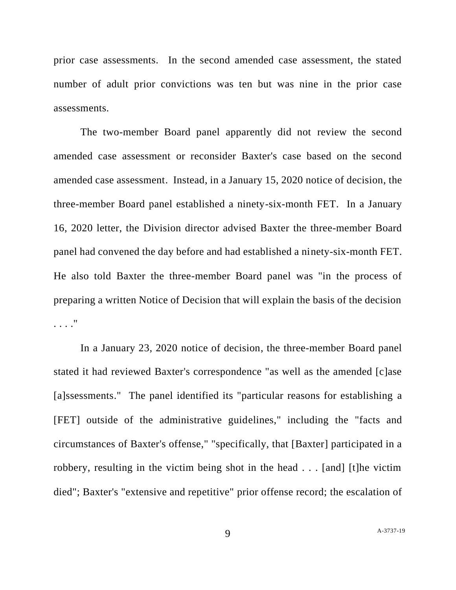prior case assessments. In the second amended case assessment, the stated number of adult prior convictions was ten but was nine in the prior case assessments.

The two-member Board panel apparently did not review the second amended case assessment or reconsider Baxter's case based on the second amended case assessment. Instead, in a January 15, 2020 notice of decision, the three-member Board panel established a ninety-six-month FET. In a January 16, 2020 letter, the Division director advised Baxter the three-member Board panel had convened the day before and had established a ninety-six-month FET. He also told Baxter the three-member Board panel was "in the process of preparing a written Notice of Decision that will explain the basis of the decision . . . ."

In a January 23, 2020 notice of decision, the three-member Board panel stated it had reviewed Baxter's correspondence "as well as the amended [c]ase [a]ssessments." The panel identified its "particular reasons for establishing a [FET] outside of the administrative guidelines," including the "facts and circumstances of Baxter's offense," "specifically, that [Baxter] participated in a robbery, resulting in the victim being shot in the head . . . [and] [t]he victim died"; Baxter's "extensive and repetitive" prior offense record; the escalation of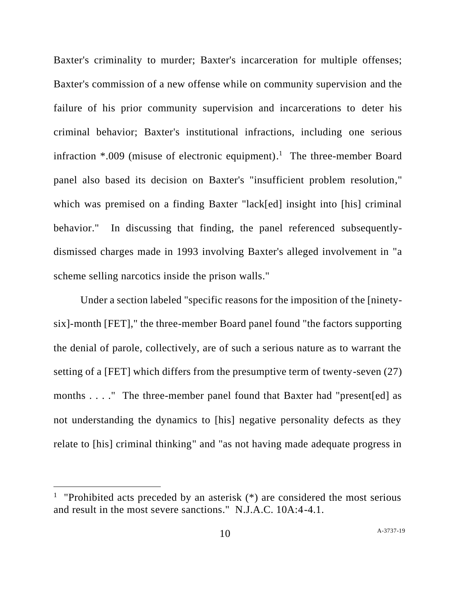Baxter's criminality to murder; Baxter's incarceration for multiple offenses; Baxter's commission of a new offense while on community supervision and the failure of his prior community supervision and incarcerations to deter his criminal behavior; Baxter's institutional infractions, including one serious infraction  $*009$  (misuse of electronic equipment).<sup>1</sup> The three-member Board panel also based its decision on Baxter's "insufficient problem resolution," which was premised on a finding Baxter "lack[ed] insight into [his] criminal behavior." In discussing that finding, the panel referenced subsequentlydismissed charges made in 1993 involving Baxter's alleged involvement in "a scheme selling narcotics inside the prison walls."

Under a section labeled "specific reasons for the imposition of the [ninetysix]-month [FET]," the three-member Board panel found "the factors supporting the denial of parole, collectively, are of such a serious nature as to warrant the setting of a [FET] which differs from the presumptive term of twenty-seven (27) months . . . . " The three-member panel found that Baxter had "present [ed] as not understanding the dynamics to [his] negative personality defects as they relate to [his] criminal thinking" and "as not having made adequate progress in

<sup>&</sup>lt;sup>1</sup> "Prohibited acts preceded by an asterisk  $(*)$  are considered the most serious and result in the most severe sanctions." N.J.A.C. 10A:4-4.1.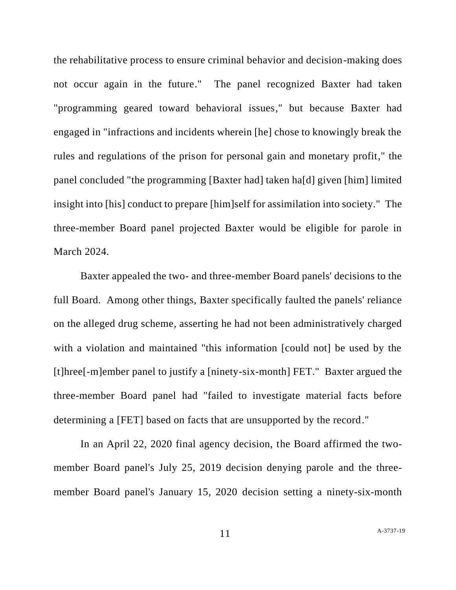the rehabilitative process to ensure criminal behavior and decision-making does not occur again in the future." The panel recognized Baxter had taken "programming geared toward behavioral issues," but because Baxter had engaged in "infractions and incidents wherein [he] chose to knowingly break the rules and regulations of the prison for personal gain and monetary profit," the panel concluded "the programming [Baxter had] taken ha[d] given [him] limited insight into [his] conduct to prepare [him]self for assimilation into society." The three-member Board panel projected Baxter would be eligible for parole in March 2024.

Baxter appealed the two- and three-member Board panels' decisions to the full Board. Among other things, Baxter specifically faulted the panels' reliance on the alleged drug scheme, asserting he had not been administratively charged with a violation and maintained "this information [could not] be used by the [t]hree[-m]ember panel to justify a [ninety-six-month] FET." Baxter argued the three-member Board panel had "failed to investigate material facts before determining a [FET] based on facts that are unsupported by the record."

In an April 22, 2020 final agency decision, the Board affirmed the twomember Board panel's July 25, 2019 decision denying parole and the threemember Board panel's January 15, 2020 decision setting a ninety-six-month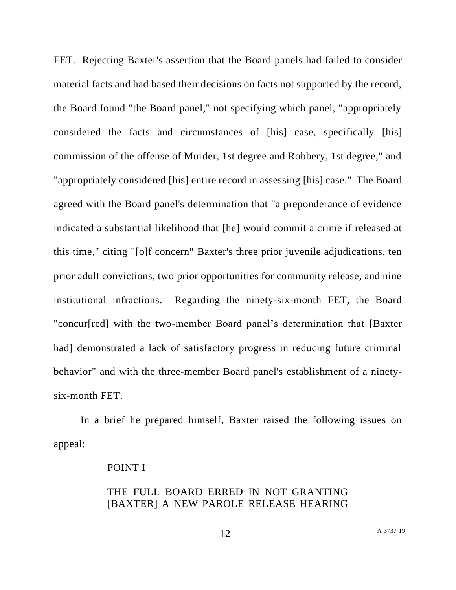FET. Rejecting Baxter's assertion that the Board panels had failed to consider material facts and had based their decisions on facts not supported by the record, the Board found "the Board panel," not specifying which panel, "appropriately considered the facts and circumstances of [his] case, specifically [his] commission of the offense of Murder, 1st degree and Robbery, 1st degree," and "appropriately considered [his] entire record in assessing [his] case." The Board agreed with the Board panel's determination that "a preponderance of evidence indicated a substantial likelihood that [he] would commit a crime if released at this time," citing "[o]f concern" Baxter's three prior juvenile adjudications, ten prior adult convictions, two prior opportunities for community release, and nine institutional infractions. Regarding the ninety-six-month FET, the Board "concur[red] with the two-member Board panel's determination that [Baxter had] demonstrated a lack of satisfactory progress in reducing future criminal behavior" and with the three-member Board panel's establishment of a ninetysix-month FET.

In a brief he prepared himself, Baxter raised the following issues on appeal:

### POINT I

## THE FULL BOARD ERRED IN NOT GRANTING [BAXTER] A NEW PAROLE RELEASE HEARING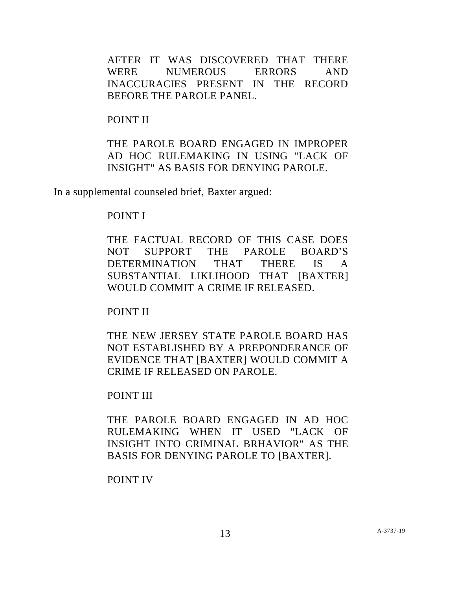AFTER IT WAS DISCOVERED THAT THERE WERE NUMEROUS ERRORS AND INACCURACIES PRESENT IN THE RECORD BEFORE THE PAROLE PANEL.

### POINT II

THE PAROLE BOARD ENGAGED IN IMPROPER AD HOC RULEMAKING IN USING "LACK OF INSIGHT" AS BASIS FOR DENYING PAROLE.

In a supplemental counseled brief, Baxter argued:

## POINT I

THE FACTUAL RECORD OF THIS CASE DOES NOT SUPPORT THE PAROLE BOARD'S DETERMINATION THAT THERE IS A SUBSTANTIAL LIKLIHOOD THAT [BAXTER] WOULD COMMIT A CRIME IF RELEASED.

POINT II

THE NEW JERSEY STATE PAROLE BOARD HAS NOT ESTABLISHED BY A PREPONDERANCE OF EVIDENCE THAT [BAXTER] WOULD COMMIT A CRIME IF RELEASED ON PAROLE.

POINT III

THE PAROLE BOARD ENGAGED IN AD HOC RULEMAKING WHEN IT USED "LACK OF INSIGHT INTO CRIMINAL BRHAVIOR" AS THE BASIS FOR DENYING PAROLE TO [BAXTER].

POINT IV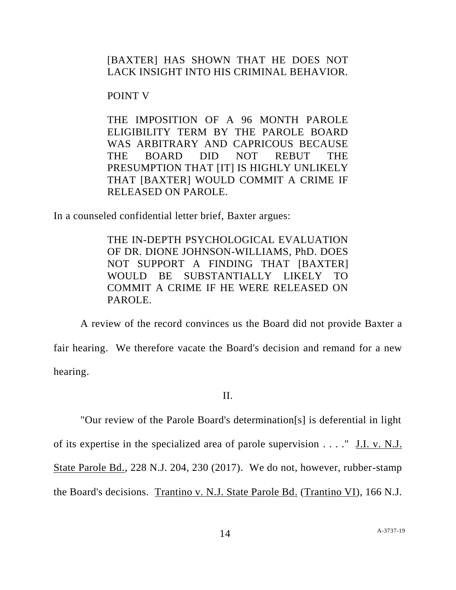[BAXTER] HAS SHOWN THAT HE DOES NOT LACK INSIGHT INTO HIS CRIMINAL BEHAVIOR.

POINT V

THE IMPOSITION OF A 96 MONTH PAROLE ELIGIBILITY TERM BY THE PAROLE BOARD WAS ARBITRARY AND CAPRICOUS BECAUSE THE BOARD DID NOT REBUT THE PRESUMPTION THAT [IT] IS HIGHLY UNLIKELY THAT [BAXTER] WOULD COMMIT A CRIME IF RELEASED ON PAROLE.

In a counseled confidential letter brief, Baxter argues:

THE IN-DEPTH PSYCHOLOGICAL EVALUATION OF DR. DIONE JOHNSON-WILLIAMS, PhD. DOES NOT SUPPORT A FINDING THAT [BAXTER] WOULD BE SUBSTANTIALLY LIKELY TO COMMIT A CRIME IF HE WERE RELEASED ON PAROLE.

A review of the record convinces us the Board did not provide Baxter a fair hearing. We therefore vacate the Board's decision and remand for a new hearing.

II.

"Our review of the Parole Board's determination[s] is deferential in light of its expertise in the specialized area of parole supervision . . . ." J.I. v. N.J. State Parole Bd., 228 N.J. 204, 230 (2017). We do not, however, rubber-stamp the Board's decisions. Trantino v. N.J. State Parole Bd. (Trantino VI), 166 N.J.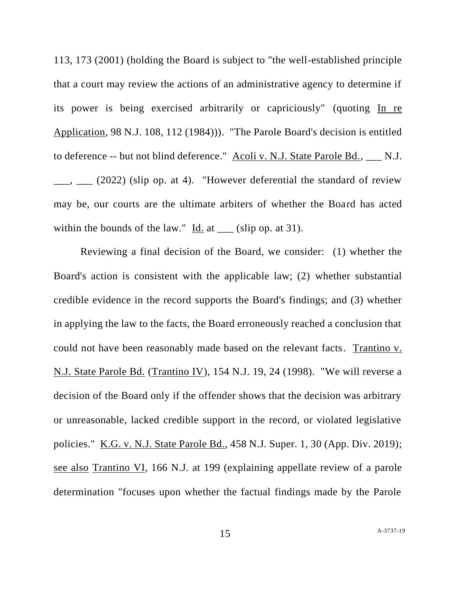113, 173 (2001) (holding the Board is subject to "the well-established principle that a court may review the actions of an administrative agency to determine if its power is being exercised arbitrarily or capriciously" (quoting In re Application, 98 N.J. 108, 112 (1984))). "The Parole Board's decision is entitled to deference -- but not blind deference." Acoli v. N.J. State Parole Bd., \_\_\_ N.J.  $\frac{1}{2}$ ,  $\frac{1}{2022}$  (slip op. at 4). "However deferential the standard of review may be, our courts are the ultimate arbiters of whether the Board has acted within the bounds of the law."  $\underline{Id}$  at  $\underline{\hspace{1cm}}$  (slip op. at 31).

Reviewing a final decision of the Board, we consider: (1) whether the Board's action is consistent with the applicable law; (2) whether substantial credible evidence in the record supports the Board's findings; and (3) whether in applying the law to the facts, the Board erroneously reached a conclusion that could not have been reasonably made based on the relevant facts. Trantino v. N.J. State Parole Bd. (Trantino IV), 154 N.J. 19, 24 (1998). "We will reverse a decision of the Board only if the offender shows that the decision was arbitrary or unreasonable, lacked credible support in the record, or violated legislative policies." K.G. v. N.J. State Parole Bd., 458 N.J. Super. 1, 30 (App. Div. 2019); see also Trantino VI, 166 N.J. at 199 (explaining appellate review of a parole determination "focuses upon whether the factual findings made by the Parole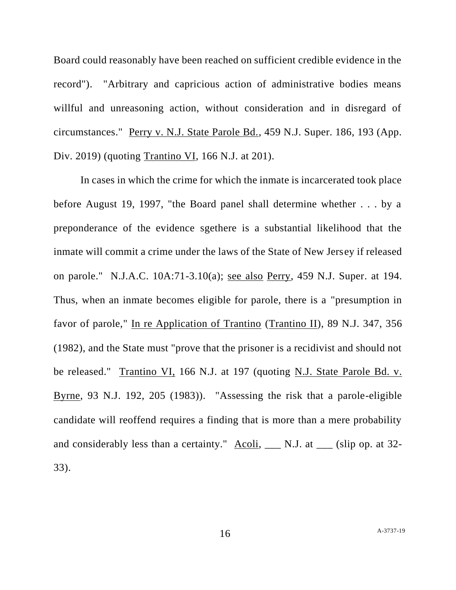Board could reasonably have been reached on sufficient credible evidence in the record"). "Arbitrary and capricious action of administrative bodies means willful and unreasoning action, without consideration and in disregard of circumstances." Perry v. N.J. State Parole Bd., 459 N.J. Super. 186, 193 (App. Div. 2019) (quoting Trantino VI, 166 N.J. at 201).

In cases in which the crime for which the inmate is incarcerated took place before August 19, 1997, "the Board panel shall determine whether . . . by a preponderance of the evidence sgethere is a substantial likelihood that the inmate will commit a crime under the laws of the State of New Jersey if released on parole." N.J.A.C. 10A:71-3.10(a); see also Perry, 459 N.J. Super. at 194. Thus, when an inmate becomes eligible for parole, there is a "presumption in favor of parole," In re Application of Trantino (Trantino II), 89 N.J. 347, 356 (1982), and the State must "prove that the prisoner is a recidivist and should not be released." Trantino VI, 166 N.J. at 197 (quoting N.J. State Parole Bd. v. Byrne, 93 N.J. 192, 205 (1983)). "Assessing the risk that a parole-eligible candidate will reoffend requires a finding that is more than a mere probability and considerably less than a certainty."  $\Delta \text{coli}$ ,  $\_\_$  N.J. at  $\_\_$  (slip op. at 32-33).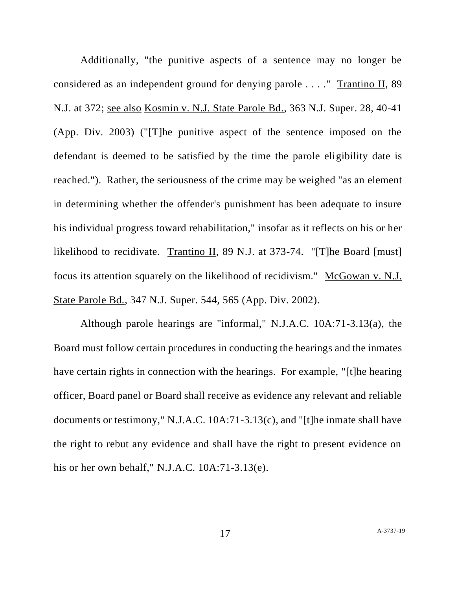Additionally, "the punitive aspects of a sentence may no longer be considered as an independent ground for denying parole . . . ." Trantino II, 89 N.J. at 372; see also Kosmin v. N.J. State Parole Bd., 363 N.J. Super. 28, 40-41 (App. Div. 2003) ("[T]he punitive aspect of the sentence imposed on the defendant is deemed to be satisfied by the time the parole eligibility date is reached."). Rather, the seriousness of the crime may be weighed "as an element in determining whether the offender's punishment has been adequate to insure his individual progress toward rehabilitation," insofar as it reflects on his or her likelihood to recidivate. Trantino II, 89 N.J. at 373-74. "[T]he Board [must] focus its attention squarely on the likelihood of recidivism." McGowan v. N.J. State Parole Bd., 347 N.J. Super. 544, 565 (App. Div. 2002).

Although parole hearings are "informal," N.J.A.C. 10A:71-3.13(a), the Board must follow certain procedures in conducting the hearings and the inmates have certain rights in connection with the hearings. For example, "[t]he hearing officer, Board panel or Board shall receive as evidence any relevant and reliable documents or testimony," N.J.A.C. 10A:71-3.13(c), and "[t]he inmate shall have the right to rebut any evidence and shall have the right to present evidence on his or her own behalf," N.J.A.C. 10A:71-3.13(e).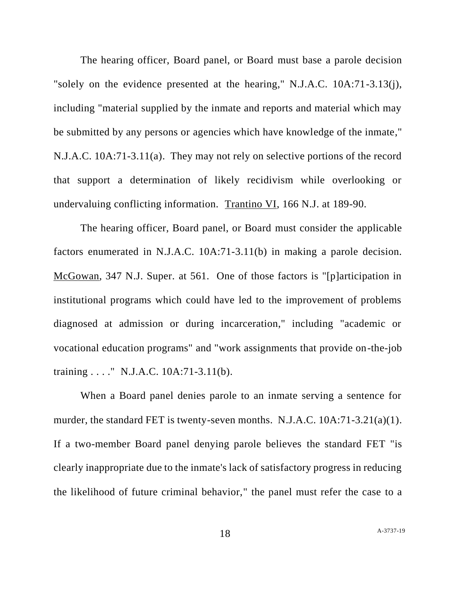The hearing officer, Board panel, or Board must base a parole decision "solely on the evidence presented at the hearing," N.J.A.C. 10A:71-3.13(j), including "material supplied by the inmate and reports and material which may be submitted by any persons or agencies which have knowledge of the inmate," N.J.A.C. 10A:71-3.11(a). They may not rely on selective portions of the record that support a determination of likely recidivism while overlooking or undervaluing conflicting information. Trantino VI, 166 N.J. at 189-90.

The hearing officer, Board panel, or Board must consider the applicable factors enumerated in N.J.A.C. 10A:71-3.11(b) in making a parole decision. McGowan, 347 N.J. Super. at 561. One of those factors is "[p]articipation in institutional programs which could have led to the improvement of problems diagnosed at admission or during incarceration," including "academic or vocational education programs" and "work assignments that provide on-the-job training . . . ." N.J.A.C. 10A:71-3.11(b).

When a Board panel denies parole to an inmate serving a sentence for murder, the standard FET is twenty-seven months. N.J.A.C. 10A:71-3.21(a)(1). If a two-member Board panel denying parole believes the standard FET "is clearly inappropriate due to the inmate's lack of satisfactory progress in reducing the likelihood of future criminal behavior," the panel must refer the case to a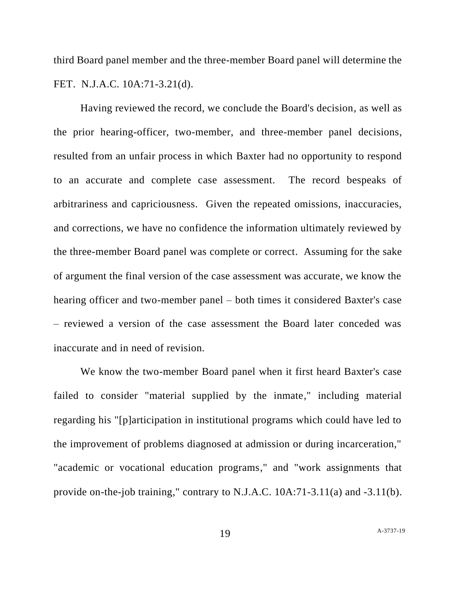third Board panel member and the three-member Board panel will determine the FET. N.J.A.C. 10A:71-3.21(d).

Having reviewed the record, we conclude the Board's decision, as well as the prior hearing-officer, two-member, and three-member panel decisions, resulted from an unfair process in which Baxter had no opportunity to respond to an accurate and complete case assessment. The record bespeaks of arbitrariness and capriciousness. Given the repeated omissions, inaccuracies, and corrections, we have no confidence the information ultimately reviewed by the three-member Board panel was complete or correct. Assuming for the sake of argument the final version of the case assessment was accurate, we know the hearing officer and two-member panel – both times it considered Baxter's case – reviewed a version of the case assessment the Board later conceded was inaccurate and in need of revision.

We know the two-member Board panel when it first heard Baxter's case failed to consider "material supplied by the inmate," including material regarding his "[p]articipation in institutional programs which could have led to the improvement of problems diagnosed at admission or during incarceration," "academic or vocational education programs," and "work assignments that provide on-the-job training," contrary to N.J.A.C. 10A:71-3.11(a) and -3.11(b).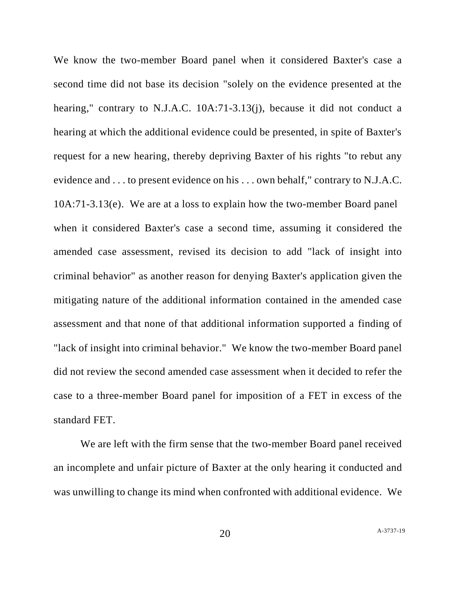We know the two-member Board panel when it considered Baxter's case a second time did not base its decision "solely on the evidence presented at the hearing," contrary to N.J.A.C. 10A:71-3.13(j), because it did not conduct a hearing at which the additional evidence could be presented, in spite of Baxter's request for a new hearing, thereby depriving Baxter of his rights "to rebut any evidence and . . . to present evidence on his . . . own behalf," contrary to N.J.A.C. 10A:71-3.13(e). We are at a loss to explain how the two-member Board panel when it considered Baxter's case a second time, assuming it considered the amended case assessment, revised its decision to add "lack of insight into criminal behavior" as another reason for denying Baxter's application given the mitigating nature of the additional information contained in the amended case assessment and that none of that additional information supported a finding of "lack of insight into criminal behavior." We know the two-member Board panel did not review the second amended case assessment when it decided to refer the case to a three-member Board panel for imposition of a FET in excess of the standard FET.

We are left with the firm sense that the two-member Board panel received an incomplete and unfair picture of Baxter at the only hearing it conducted and was unwilling to change its mind when confronted with additional evidence. We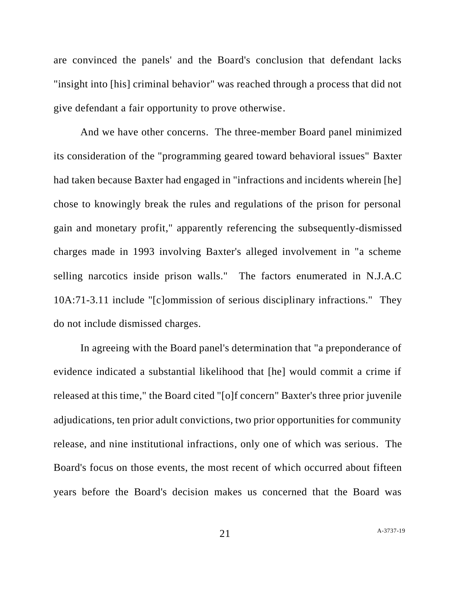are convinced the panels' and the Board's conclusion that defendant lacks "insight into [his] criminal behavior" was reached through a process that did not give defendant a fair opportunity to prove otherwise.

And we have other concerns. The three-member Board panel minimized its consideration of the "programming geared toward behavioral issues" Baxter had taken because Baxter had engaged in "infractions and incidents wherein [he] chose to knowingly break the rules and regulations of the prison for personal gain and monetary profit," apparently referencing the subsequently-dismissed charges made in 1993 involving Baxter's alleged involvement in "a scheme selling narcotics inside prison walls." The factors enumerated in N.J.A.C 10A:71-3.11 include "[c]ommission of serious disciplinary infractions." They do not include dismissed charges.

In agreeing with the Board panel's determination that "a preponderance of evidence indicated a substantial likelihood that [he] would commit a crime if released at this time," the Board cited "[o]f concern" Baxter's three prior juvenile adjudications, ten prior adult convictions, two prior opportunities for community release, and nine institutional infractions, only one of which was serious. The Board's focus on those events, the most recent of which occurred about fifteen years before the Board's decision makes us concerned that the Board was